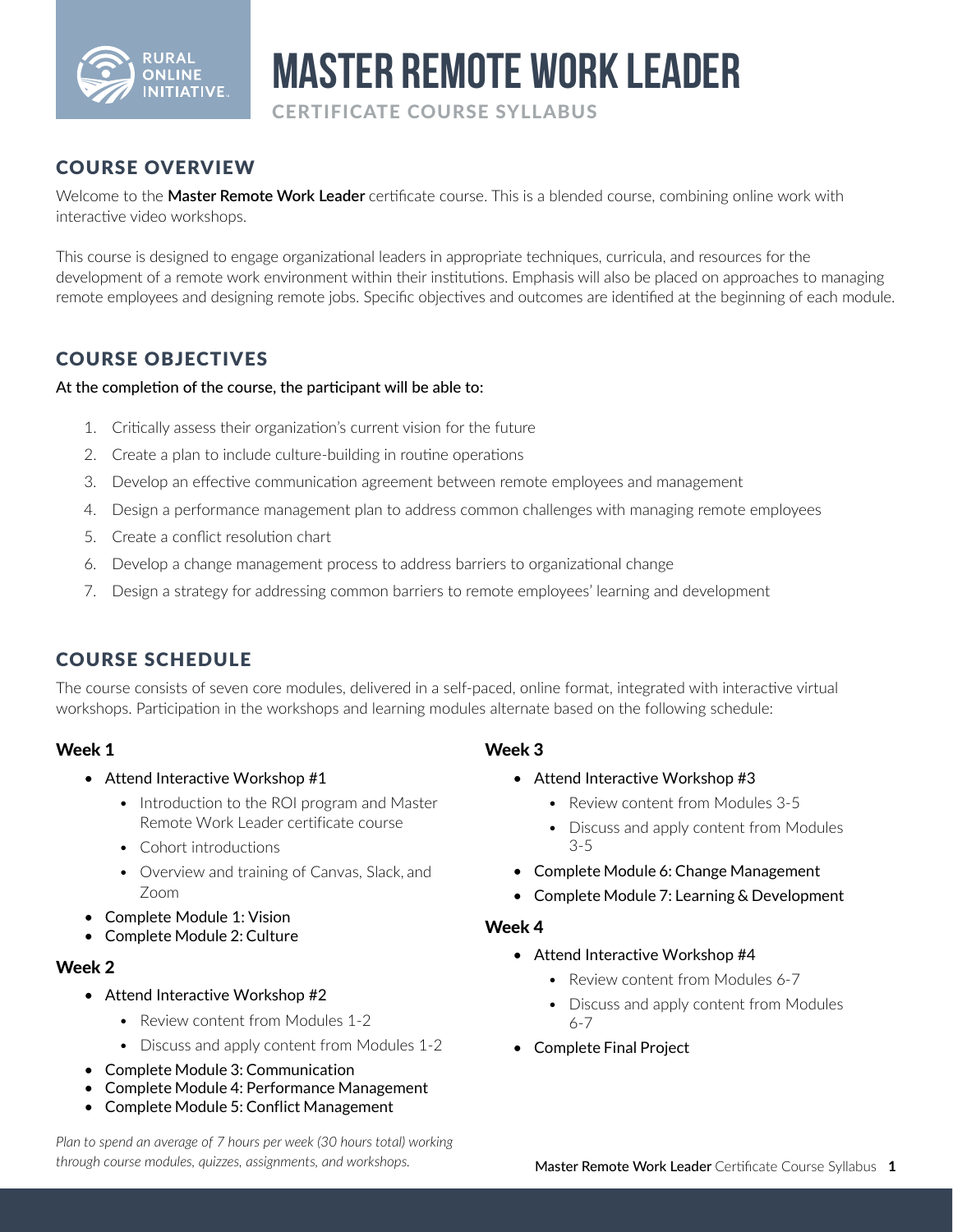

# **Master Remote Work Leader**

CERTIFICATE COURSE SYLLABUS

## COURSE OVERVIEW

Welcome to the **Master Remote Work Leader** certificate course. This is a blended course, combining online work with interactive video workshops.

This course is designed to engage organizational leaders in appropriate techniques, curricula, and resources for the development of a remote work environment within their institutions. Emphasis will also be placed on approaches to managing remote employees and designing remote jobs. Specific objectives and outcomes are identified at the beginning of each module.

## COURSE OBJECTIVES

#### At the completion of the course, the participant will be able to:

- 1. Critically assess their organization's current vision for the future
- 2. Create a plan to include culture-building in routine operations
- 3. Develop an effective communication agreement between remote employees and management
- 4. Design a performance management plan to address common challenges with managing remote employees
- 5. Create a conflict resolution chart
- 6. Develop a change management process to address barriers to organizational change
- 7. Design a strategy for addressing common barriers to remote employees' learning and development

## COURSE SCHEDULE

The course consists of seven core modules, delivered in a self-paced, online format, integrated with interactive virtual workshops. Participation in the workshops and learning modules alternate based on the following schedule:

#### Week 1

- Attend Interactive Workshop #1
	- Introduction to the ROI program and Master Remote Work Leader certificate course
	- Cohort introductions
	- Overview and training of Canvas, Slack, and Zoom
- Complete Module 1: Vision
- Complete Module 2: Culture

#### Week 2

- Attend Interactive Workshop #2
	- Review content from Modules 1-2
	- Discuss and apply content from Modules 1-2
- Complete Module 3: Communication
- Complete Module 4: Performance Management
- Complete Module 5: Conflict Management

#### *Plan to spend an average of 7 hours per week (30 hours total) working through course modules, quizzes, assignments, and workshops.*

#### Week 3

- Attend Interactive Workshop #3
	- Review content from Modules 3-5
	- Discuss and apply content from Modules 3-5
- Complete Module 6: Change Management
- Complete Module 7: Learning & Development

#### Week 4

- Attend Interactive Workshop #4
	- Review content from Modules 6-7
	- Discuss and apply content from Modules 6-7
- Complete Final Project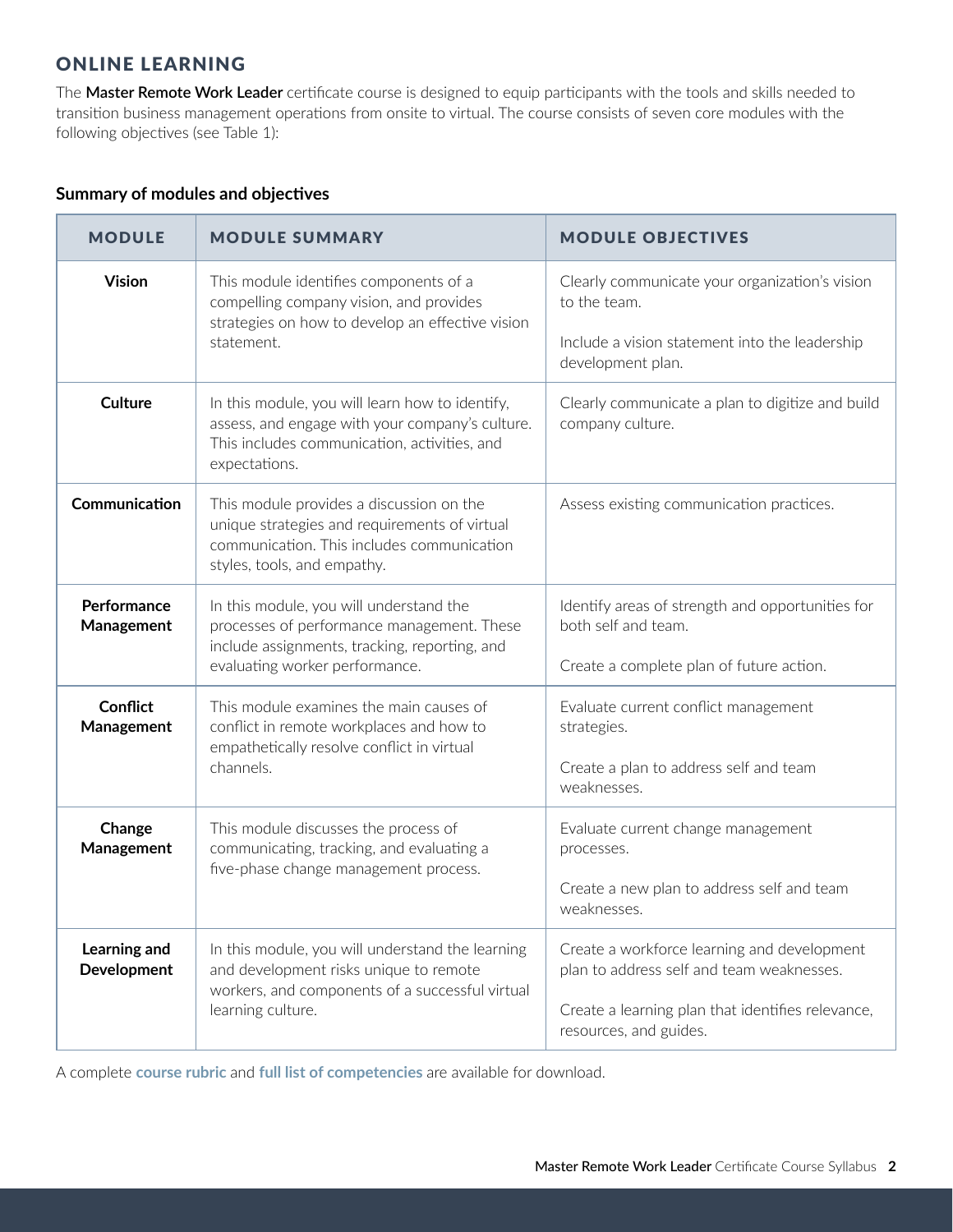## ONLINE LEARNING

The **Master Remote Work Leader** certificate course is designed to equip participants with the tools and skills needed to transition business management operations from onsite to virtual. The course consists of seven core modules with the following objectives (see Table 1):

#### **Summary of modules and objectives**

| <b>MODULE</b>               | <b>MODULE SUMMARY</b>                                                                                                                                                    | <b>MODULE OBJECTIVES</b>                                                                                            |
|-----------------------------|--------------------------------------------------------------------------------------------------------------------------------------------------------------------------|---------------------------------------------------------------------------------------------------------------------|
| <b>Vision</b>               | This module identifies components of a<br>compelling company vision, and provides<br>strategies on how to develop an effective vision<br>statement.                      | Clearly communicate your organization's vision<br>to the team.                                                      |
|                             |                                                                                                                                                                          | Include a vision statement into the leadership<br>development plan.                                                 |
| <b>Culture</b>              | In this module, you will learn how to identify,<br>assess, and engage with your company's culture.<br>This includes communication, activities, and<br>expectations.      | Clearly communicate a plan to digitize and build<br>company culture.                                                |
| Communication               | This module provides a discussion on the<br>unique strategies and requirements of virtual<br>communication. This includes communication<br>styles, tools, and empathy.   | Assess existing communication practices.                                                                            |
| Performance<br>Management   | In this module, you will understand the<br>processes of performance management. These<br>include assignments, tracking, reporting, and<br>evaluating worker performance. | Identify areas of strength and opportunities for<br>both self and team.<br>Create a complete plan of future action. |
| <b>Conflict</b>             | This module examines the main causes of                                                                                                                                  | Evaluate current conflict management                                                                                |
| Management                  | conflict in remote workplaces and how to                                                                                                                                 | strategies.                                                                                                         |
|                             | empathetically resolve conflict in virtual<br>channels.                                                                                                                  | Create a plan to address self and team<br>weaknesses.                                                               |
| Change<br>Management        | This module discusses the process of<br>communicating, tracking, and evaluating a<br>five-phase change management process.                                               | Evaluate current change management<br>processes.                                                                    |
|                             |                                                                                                                                                                          | Create a new plan to address self and team<br>weaknesses                                                            |
| Learning and<br>Development | In this module, you will understand the learning<br>and development risks unique to remote<br>workers, and components of a successful virtual<br>learning culture.       | Create a workforce learning and development<br>plan to address self and team weaknesses.                            |
|                             |                                                                                                                                                                          | Create a learning plan that identifies relevance,<br>resources, and guides.                                         |

A complete **[course rubric](https://usu.app.box.com/s/p37vkop7q62463k4q7rtn22wplvhld22)** and **[full list of competencies](https://usu.app.box.com/s/3rrp8z1x2vqoxa9jgs8ovrewqgcqtwot)** are available for download.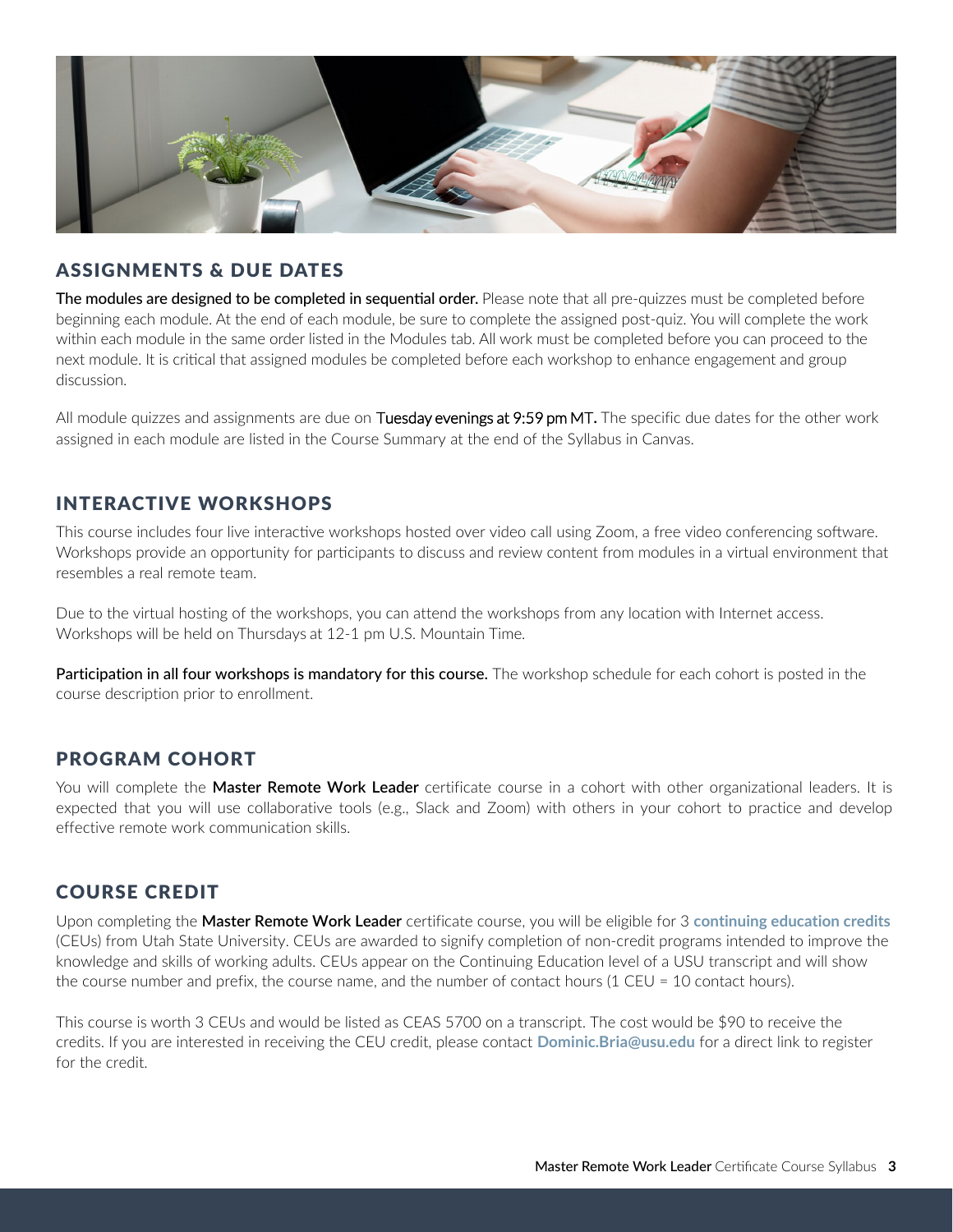

#### ASSIGNMENTS & DUE DATES

The modules are designed to be completed in sequential order. Please note that all pre-quizzes must be completed before beginning each module. At the end of each module, be sure to complete the assigned post-quiz. You will complete the work within each module in the same order listed in the Modules tab. All work must be completed before you can proceed to the next module. It is critical that assigned modules be completed before each workshop to enhance engagement and group discussion.

All module quizzes and assignments are due on Tuesday evenings at 9:59 pm MT**.** The specific due dates for the other work assigned in each module are listed in the Course Summary at the end of the Syllabus in Canvas.

## INTERACTIVE WORKSHOPS

This course includes four live interactive workshops hosted over video call using Zoom, a free video conferencing software. Workshops provide an opportunity for participants to discuss and review content from modules in a virtual environment that resembles a real remote team.

Due to the virtual hosting of the workshops, you can attend the workshops from any location with Internet access. Workshops will be held on Thursdays at 12-1 pm U.S. Mountain Time.

Participation in all four workshops is mandatory for this course. The workshop schedule for each cohort is posted in the course description prior to enrollment.

## PROGRAM COHORT

You will complete the **Master Remote Work Leader** certificate course in a cohort with other organizational leaders. It is expected that you will use collaborative tools (e.g., Slack and Zoom) with others in your cohort to practice and develop effective remote work communication skills.

#### COURSE CREDIT

Upon completing the **Master Remote Work Leader** certificate course, you will be eligible for 3 **continuing educa[tion credits](https://ais.usu.edu/ceu/)** (CEUs) from Utah State University. CEUs are awarded to signify completion of non-credit programs intended to improve the knowledge and skills of working adults. CEUs appear on the Continuing Education level of a USU transcript and will show the course number and prefix, the course name, and the number of contact hours (1 CEU = 10 contact hours).

This course is worth 3 CEUs and would be listed as CEAS 5700 on a transcript. The cost would be \$90 to receive the credits. If you are interested in receiving the CEU credit, please contact **[Dominic.Bria](mailto:Russell.Goodrich%40usu.edu?subject=)@usu.edu** for a direct link to register for the credit.